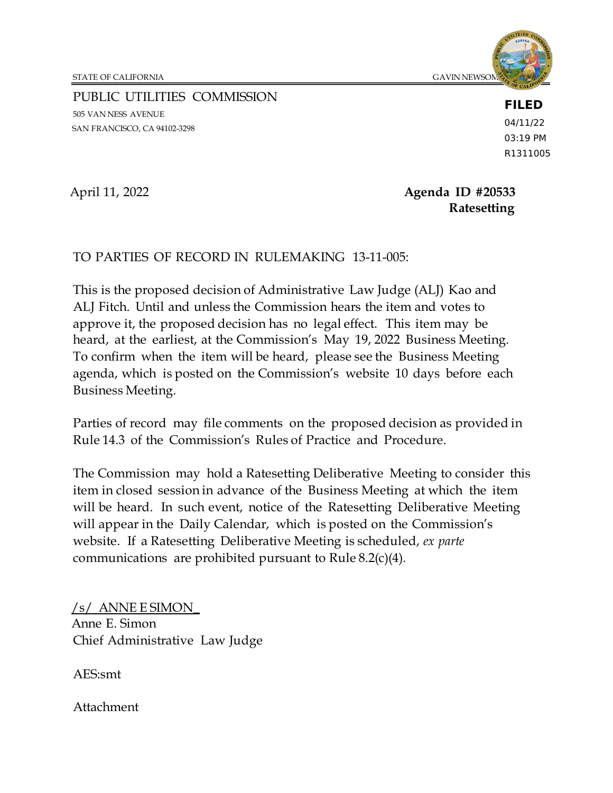STATE OF CALIFORNIA GAVIN NEWSOM, GAVIN NEWSOM, GAVIN NEWSOM, GAVIN NEWSOM, GAVIN NEWSOM,  $\sigma$ 

PUBLIC UTILITIES COMMISSION 505 VAN NESS AVENUE SAN FRANCISCO, CA 94102-3298

**FILED**

04/11/22 03:19 PM R1311005

April 11, 2022 **Agenda ID #20533 Ratesetting**

#### TO PARTIES OF RECORD IN RULEMAKING 13-11-005:

This is the proposed decision of Administrative Law Judge (ALJ) Kao and ALJ Fitch. Until and unless the Commission hears the item and votes to approve it, the proposed decision has no legal effect. This item may be heard, at the earliest, at the Commission's May 19, 2022 Business Meeting. To confirm when the item will be heard, please see the Business Meeting agenda, which is posted on the Commission's website 10 days before each Business Meeting.

Parties of record may file comments on the proposed decision as provided in Rule 14.3 of the Commission's Rules of Practice and Procedure.

The Commission may hold a Ratesetting Deliberative Meeting to consider this item in closed session in advance of the Business Meeting at which the item will be heard. In such event, notice of the Ratesetting Deliberative Meeting will appear in the Daily Calendar, which is posted on the Commission's website. If a Ratesetting Deliberative Meeting is scheduled, *ex parte* communications are prohibited pursuant to Rule 8.2(c)(4).

/s/ ANNE E SIMON\_ Anne E. Simon Chief Administrative Law Judge

AES:smt

Attachment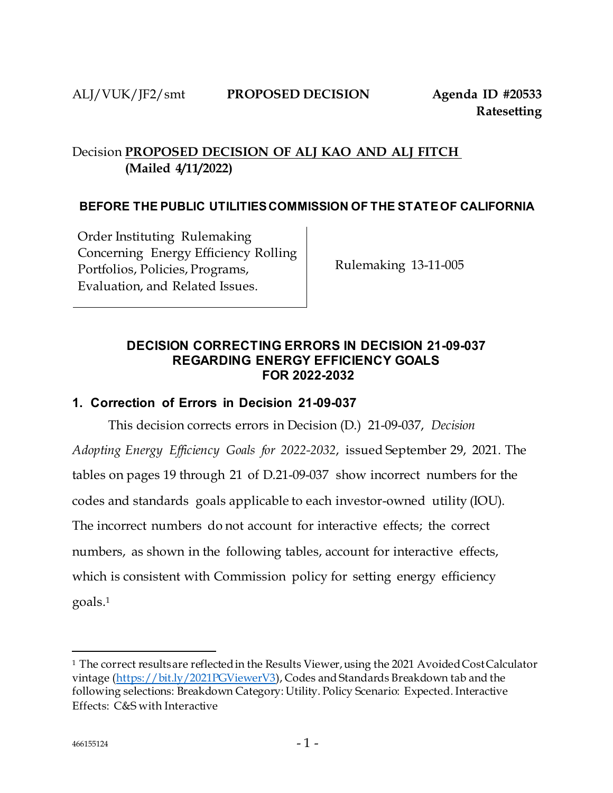# Decision **PROPOSED DECISION OF ALJ KAO AND ALJ FITCH (Mailed 4/11/2022)**

#### **BEFORE THE PUBLIC UTILITIESCOMMISSION OF THE STATEOF CALIFORNIA**

Order Instituting Rulemaking Concerning Energy Efficiency Rolling Portfolios, Policies, Programs, Evaluation, and Related Issues.

Rulemaking 13-11-005

#### **DECISION CORRECTING ERRORS IN DECISION 21-09-037 REGARDING ENERGY EFFICIENCY GOALS FOR 2022-2032**

#### **1. Correction of Errors in Decision 21-09-037**

This decision corrects errors in Decision (D.) 21-09-037, *Decision Adopting Energy Efficiency Goals for 2022-2032*, issued September 29, 2021. The tables on pages 19 through 21 of D.21-09-037 show incorrect numbers for the codes and standards goals applicable to each investor-owned utility (IOU). The incorrect numbers do not account for interactive effects; the correct numbers, as shown in the following tables, account for interactive effects, which is consistent with Commission policy for setting energy efficiency goals[.](#page-1-0)<sup>1</sup>

<span id="page-1-0"></span><sup>&</sup>lt;sup>1</sup> The correct resultsare reflected in the Results Viewer, using the 2021 Avoided Cost Calculator vintag[e \(https://bit.ly/2021PGViewerV3](https://bit.ly/2021PGViewerV3)), Codes and Standards Breakdown tab and the following selections: Breakdown Category: Utility. Policy Scenario: Expected. Interactive Effects: C&S with Interactive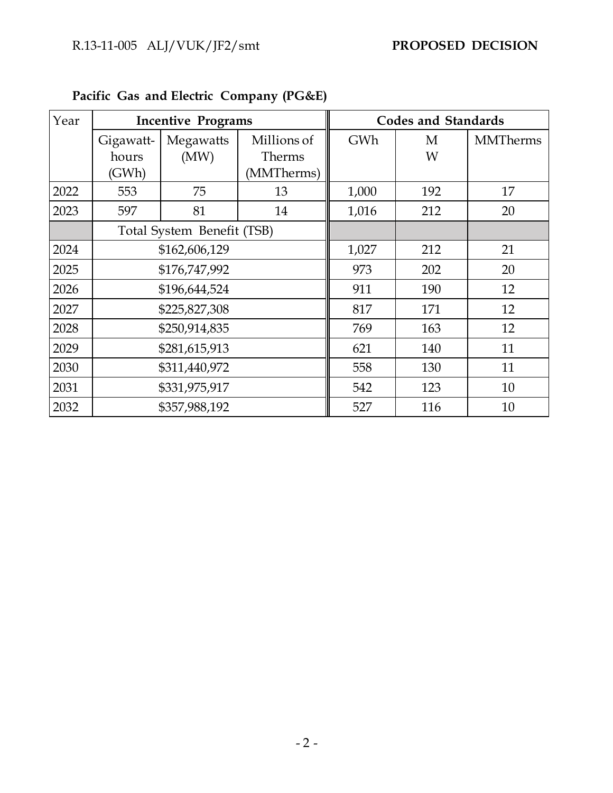| Year | <b>Incentive Programs</b>  |               |               | <b>Codes and Standards</b> |     |                 |
|------|----------------------------|---------------|---------------|----------------------------|-----|-----------------|
|      | Gigawatt-                  | Megawatts     | Millions of   | GWh                        | М   | <b>MMTherms</b> |
|      | hours                      | (MW)          | <b>Therms</b> |                            | W   |                 |
|      | (GWh)                      |               | (MMTherms)    |                            |     |                 |
| 2022 | 553                        | 75            | 13            | 1,000                      | 192 | 17              |
| 2023 | 597                        | 81            | 14            | 1,016                      | 212 | 20              |
|      | Total System Benefit (TSB) |               |               |                            |     |                 |
| 2024 | \$162,606,129              |               |               | 1,027                      | 212 | 21              |
| 2025 | \$176,747,992              |               |               | 973                        | 202 | 20              |
| 2026 |                            | \$196,644,524 |               | 911                        | 190 | 12              |
| 2027 |                            | \$225,827,308 |               | 817                        | 171 | 12              |
| 2028 |                            | \$250,914,835 |               | 769                        | 163 | 12              |
| 2029 |                            | \$281,615,913 |               | 621                        | 140 | 11              |
| 2030 | \$311,440,972              |               |               | 558                        | 130 | 11              |
| 2031 | \$331,975,917              |               |               | 542                        | 123 | 10              |
| 2032 |                            | \$357,988,192 |               | 527                        | 116 | 10              |

**Pacific Gas and Electric Company (PG&E)**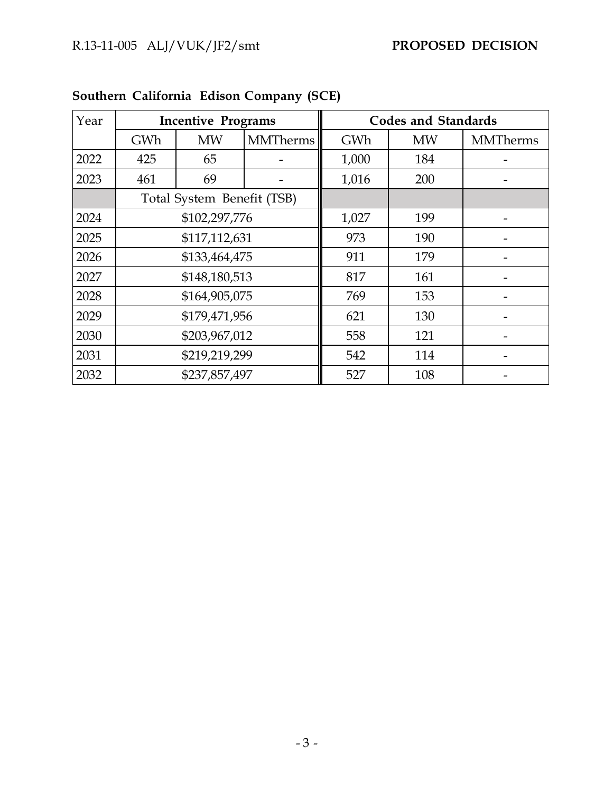| Year | <b>Incentive Programs</b>  |               |                 |       | <b>Codes and Standards</b> |                 |
|------|----------------------------|---------------|-----------------|-------|----------------------------|-----------------|
|      | GWh                        | <b>MW</b>     | <b>MMTherms</b> | GWh   | <b>MW</b>                  | <b>MMTherms</b> |
| 2022 | 425                        | 65            |                 | 1,000 | 184                        |                 |
| 2023 | 461                        | 69            |                 | 1,016 | 200                        |                 |
|      | Total System Benefit (TSB) |               |                 |       |                            |                 |
| 2024 | \$102,297,776              |               |                 | 1,027 | 199                        |                 |
| 2025 | \$117,112,631              |               |                 | 973   | 190                        |                 |
| 2026 | \$133,464,475              |               |                 | 911   | 179                        |                 |
| 2027 | \$148,180,513              |               |                 | 817   | 161                        |                 |
| 2028 | \$164,905,075              |               |                 | 769   | 153                        |                 |
| 2029 | \$179,471,956              |               |                 | 621   | 130                        |                 |
| 2030 | \$203,967,012              |               |                 | 558   | 121                        |                 |
| 2031 | \$219,219,299              |               |                 | 542   | 114                        |                 |
| 2032 |                            | \$237,857,497 |                 | 527   | 108                        |                 |

# **Southern California Edison Company (SCE)**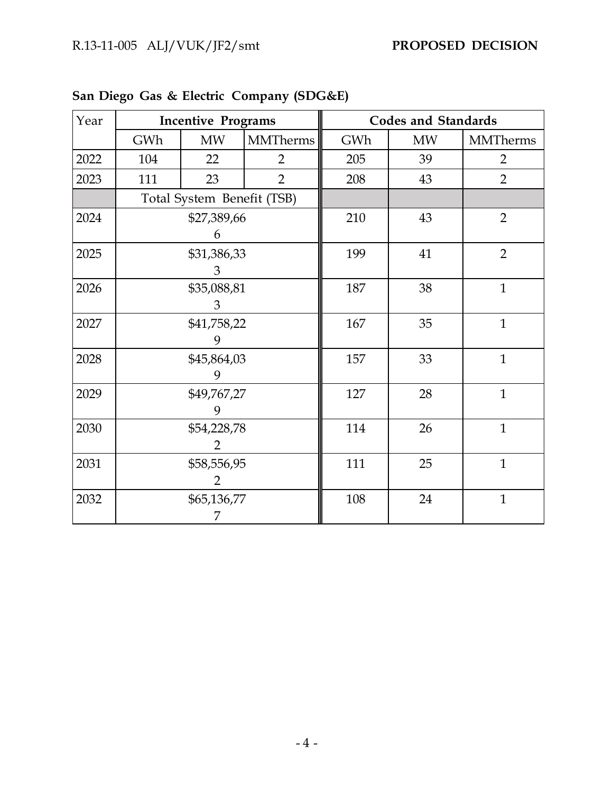| Year | <b>Incentive Programs</b> |                            |                 | <b>Codes and Standards</b> |           |                 |
|------|---------------------------|----------------------------|-----------------|----------------------------|-----------|-----------------|
|      | GWh                       | MW                         | <b>MMTherms</b> | GWh                        | <b>MW</b> | <b>MMTherms</b> |
| 2022 | 104                       | 22                         | $\overline{2}$  | 205                        | 39        | $\overline{2}$  |
| 2023 | 111                       | 23                         | $\overline{2}$  | 208                        | 43        | $\overline{2}$  |
|      |                           | Total System Benefit (TSB) |                 |                            |           |                 |
| 2024 |                           | \$27,389,66<br>6           |                 | 210                        | 43        | $\overline{2}$  |
| 2025 | \$31,386,33<br>3          |                            |                 | 199                        | 41        | $\overline{2}$  |
| 2026 | \$35,088,81<br>3          |                            |                 | 187                        | 38        | $\mathbf{1}$    |
| 2027 | \$41,758,22<br>9          |                            |                 | 167                        | 35        | $\mathbf{1}$    |
| 2028 | \$45,864,03               |                            |                 | 157                        | 33        | $\mathbf{1}$    |
| 2029 | \$49,767,27               |                            |                 | 127                        | 28        | $\mathbf{1}$    |
| 2030 | \$54,228,78<br>2          |                            |                 | 114                        | 26        | $\mathbf{1}$    |
| 2031 | \$58,556,95<br>2          |                            |                 | 111                        | 25        | $\overline{1}$  |
| 2032 | \$65,136,77<br>7          |                            |                 | 108                        | 24        | $\mathbf{1}$    |

| San Diego Gas & Electric Company (SDG&E) |  |
|------------------------------------------|--|
|------------------------------------------|--|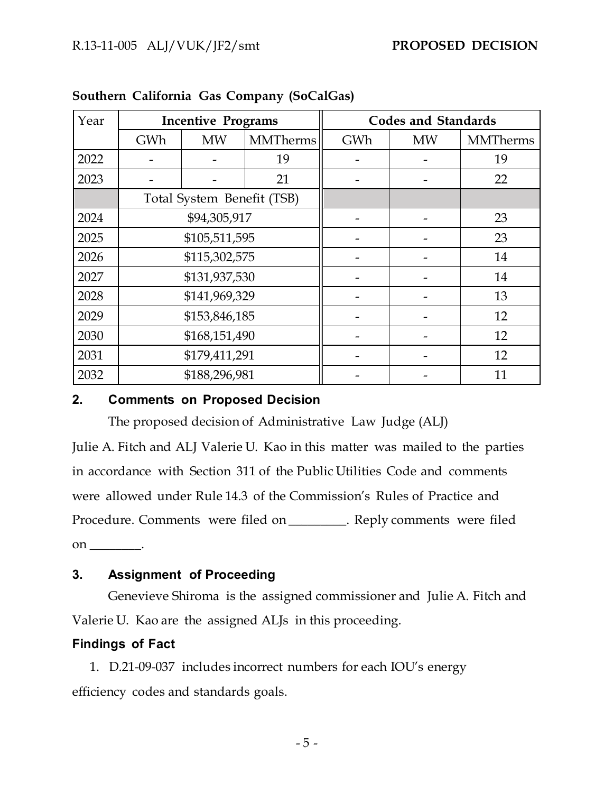| Year | <b>Incentive Programs</b>  |               |                 | <b>Codes and Standards</b> |           |                 |
|------|----------------------------|---------------|-----------------|----------------------------|-----------|-----------------|
|      | GWh                        | <b>MW</b>     | <b>MMTherms</b> | GWh                        | <b>MW</b> | <b>MMTherms</b> |
| 2022 |                            |               | 19              |                            |           | 19              |
| 2023 |                            |               | 21              |                            |           | 22              |
|      | Total System Benefit (TSB) |               |                 |                            |           |                 |
| 2024 | \$94,305,917               |               |                 |                            |           | 23              |
| 2025 | \$105,511,595              |               |                 |                            |           | 23              |
| 2026 | \$115,302,575              |               |                 |                            |           | 14              |
| 2027 | \$131,937,530              |               |                 |                            |           | 14              |
| 2028 |                            | \$141,969,329 |                 |                            |           | 13              |
| 2029 |                            | \$153,846,185 |                 |                            |           | 12              |
| 2030 | \$168,151,490              |               |                 |                            |           | 12              |
| 2031 | \$179,411,291              |               |                 |                            |           | 12              |
| 2032 |                            | \$188,296,981 |                 |                            |           | 11              |

|  |  | Southern California Gas Company (SoCalGas) |
|--|--|--------------------------------------------|
|  |  |                                            |

#### **2. Comments on Proposed Decision**

The proposed decision of Administrative Law Judge (ALJ)

Julie A. Fitch and ALJ Valerie U. Kao in this matter was mailed to the parties in accordance with Section 311 of the Public Utilities Code and comments were allowed under Rule 14.3 of the Commission's Rules of Practice and Procedure. Comments were filed on \_\_\_\_\_\_\_\_\_. Reply comments were filed  $\mathsf{on}$   $\qquad$ .

#### **3. Assignment of Proceeding**

Genevieve Shiroma is the assigned commissioner and Julie A. Fitch and Valerie U. Kao are the assigned ALJs in this proceeding.

### **Findings of Fact**

1. D.21-09-037 includes incorrect numbers for each IOU's energy efficiency codes and standards goals.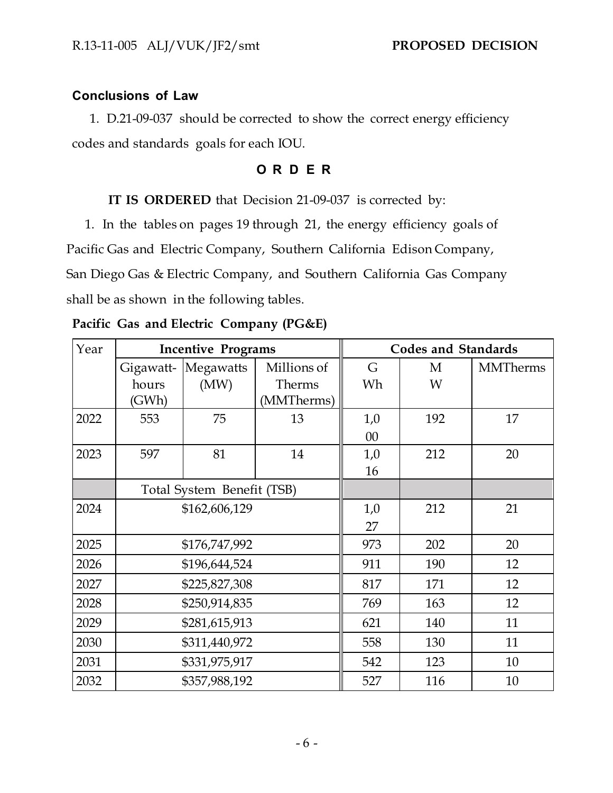# **Conclusions of Law**

1. D.21-09-037 should be corrected to show the correct energy efficiency codes and standards goals for each IOU.

## **O R D E R**

#### **IT IS ORDERED** that Decision 21-09-037 is corrected by:

1. In the tables on pages 19 through 21, the energy efficiency goals of Pacific Gas and Electric Company, Southern California Edison Company, San Diego Gas & Electric Company, and Southern California Gas Company shall be as shown in the following tables.

| Year | <b>Incentive Programs</b>  |               |             | <b>Codes and Standards</b> |     |                 |
|------|----------------------------|---------------|-------------|----------------------------|-----|-----------------|
|      | Gigawatt-                  | Megawatts     | Millions of | G                          | M   | <b>MMTherms</b> |
|      | hours                      | (MW)          | Therms      | Wh                         | W   |                 |
|      | (GWh)                      |               | (MMTherms)  |                            |     |                 |
| 2022 | 553                        | 75            | 13          | 1,0                        | 192 | 17              |
|      |                            |               |             | 00                         |     |                 |
| 2023 | 597                        | 81            | 14          | 1,0                        | 212 | 20              |
|      |                            |               |             | 16                         |     |                 |
|      | Total System Benefit (TSB) |               |             |                            |     |                 |
| 2024 | \$162,606,129              |               | 1,0         | 212                        | 21  |                 |
|      |                            |               |             | 27                         |     |                 |
| 2025 |                            | \$176,747,992 |             | 973                        | 202 | 20              |
| 2026 |                            | \$196,644,524 |             | 911                        | 190 | 12              |
| 2027 |                            | \$225,827,308 |             | 817                        | 171 | 12              |
| 2028 |                            | \$250,914,835 |             | 769                        | 163 | 12              |
| 2029 | \$281,615,913              |               |             | 621                        | 140 | 11              |
| 2030 | \$311,440,972              |               |             | 558                        | 130 | 11              |
| 2031 | \$331,975,917              |               |             | 542                        | 123 | 10              |
| 2032 | \$357,988,192              |               |             | 527                        | 116 | 10              |

#### **Pacific Gas and Electric Company (PG&E)**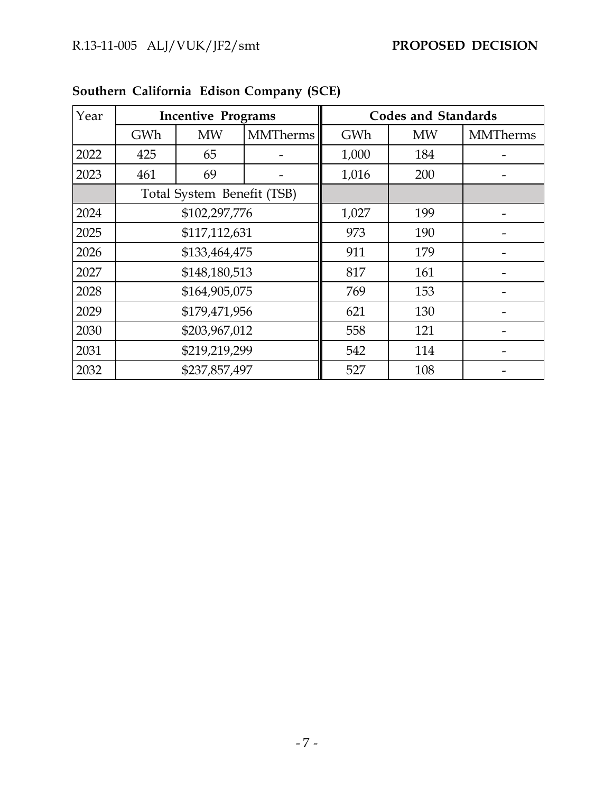| Year | <b>Incentive Programs</b>  |               |                 |       | <b>Codes and Standards</b> |                 |
|------|----------------------------|---------------|-----------------|-------|----------------------------|-----------------|
|      | GWh                        | <b>MW</b>     | <b>MMTherms</b> | GWh   | <b>MW</b>                  | <b>MMTherms</b> |
| 2022 | 425                        | 65            |                 | 1,000 | 184                        |                 |
| 2023 | 461                        | 69            |                 | 1,016 | 200                        |                 |
|      | Total System Benefit (TSB) |               |                 |       |                            |                 |
| 2024 | \$102,297,776              |               |                 | 1,027 | 199                        |                 |
| 2025 | \$117,112,631              |               |                 | 973   | 190                        |                 |
| 2026 | \$133,464,475              |               |                 | 911   | 179                        |                 |
| 2027 | \$148,180,513              |               |                 | 817   | 161                        |                 |
| 2028 |                            | \$164,905,075 |                 | 769   | 153                        |                 |
| 2029 | \$179,471,956              |               |                 | 621   | 130                        |                 |
| 2030 | \$203,967,012              |               |                 | 558   | 121                        |                 |
| 2031 | \$219,219,299              |               |                 | 542   | 114                        |                 |
| 2032 |                            | \$237,857,497 |                 | 527   | 108                        |                 |

**Southern California Edison Company (SCE)**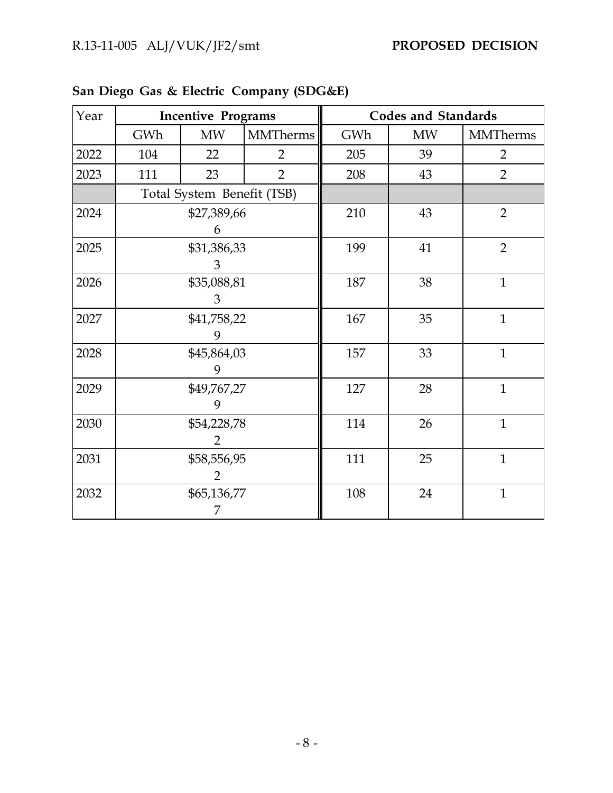| Year | <b>Incentive Programs</b> |                            |                 |     | <b>Codes and Standards</b> |                 |  |
|------|---------------------------|----------------------------|-----------------|-----|----------------------------|-----------------|--|
|      | GWh                       | <b>MW</b>                  | <b>MMTherms</b> | GWh | <b>MW</b>                  | <b>MMTherms</b> |  |
| 2022 | 104                       | 22                         | $\overline{2}$  | 205 | 39                         | $\overline{2}$  |  |
| 2023 | 111                       | 23                         | $\overline{2}$  | 208 | 43                         | $\overline{2}$  |  |
|      |                           | Total System Benefit (TSB) |                 |     |                            |                 |  |
| 2024 |                           | \$27,389,66<br>6           |                 | 210 | 43                         | $\overline{2}$  |  |
| 2025 | \$31,386,33<br>3          |                            |                 | 199 | 41                         | $\overline{2}$  |  |
| 2026 | \$35,088,81<br>3          |                            |                 | 187 | 38                         | $\mathbf{1}$    |  |
| 2027 | \$41,758,22<br>9          |                            |                 | 167 | 35                         | $\mathbf{1}$    |  |
| 2028 | \$45,864,03               |                            |                 | 157 | 33                         | $\mathbf{1}$    |  |
| 2029 | \$49,767,27               |                            |                 | 127 | 28                         | $\mathbf{1}$    |  |
| 2030 | \$54,228,78               |                            |                 | 114 | 26                         | $\mathbf{1}$    |  |
| 2031 | \$58,556,95               |                            |                 | 111 | 25                         | $\mathbf{1}$    |  |
| 2032 | \$65,136,77<br>7          |                            |                 | 108 | 24                         | $\mathbf{1}$    |  |

| San Diego Gas & Electric Company (SDG&E) |  |
|------------------------------------------|--|
|------------------------------------------|--|